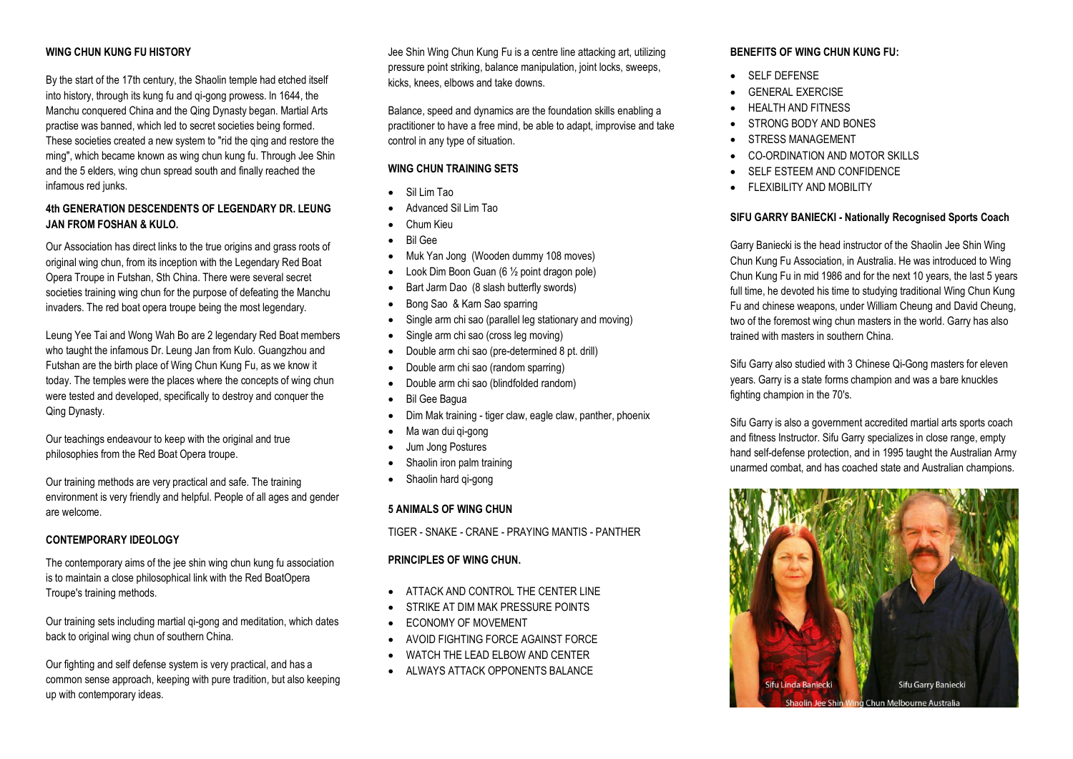## **WING CHUN KUNG FU HISTORY**

By the start of the 17th century, the Shaolin temple had etched itself into history, through its kung fu and qi-gong prowess. ln 1644, the Manchu conquered China and the Qing Dynasty began. Martial Arts practise was banned, which led to secret societies being formed. These societies created a new system to "rid the qing and restore the ming", which became known as wing chun kung fu. Through Jee Shin and the 5 elders, wing chun spread south and finally reached the infamous red junks.

## **4th GENERATION DESCENDENTS OF LEGENDARY DR. LEUNG JAN FROM FOSHAN & KULO.**

Our Association has direct links to the true origins and grass roots of original wing chun, from its inception with the Legendary Red Boat Opera Troupe in Futshan, Sth China. There were several secret societies training wing chun for the purpose of defeating the Manchu invaders. The red boat opera troupe being the most legendary.

Leung Yee Tai and Wong Wah Bo are 2 legendary Red Boat members who taught the infamous Dr. Leung Jan from Kulo. Guangzhou and Futshan are the birth place of Wing Chun Kung Fu, as we know it today. The temples were the places where the concepts of wing chun were tested and developed, specifically to destroy and conquer the Qing Dynasty.

Our teachings endeavour to keep with the original and true philosophies from the Red Boat Opera troupe.

Our training methods are very practical and safe. The training environment is very friendly and helpful. People of all ages and gender are welcome.

### **CONTEMPORARY IDEOLOGY**

The contemporary aims of the jee shin wing chun kung fu association is to maintain a close philosophical link with the Red BoatOpera Troupe's training methods.

Our training sets including martial qi-gong and meditation, which dates back to original wing chun of southern China.

Our fighting and self defense system is very practical, and has a common sense approach, keeping with pure tradition, but also keeping up with contemporary ideas.

Jee Shin Wing Chun Kung Fu is a centre line attacking art, utilizing pressure point striking, balance manipulation, joint locks, sweeps, kicks, knees, elbows and take downs.

Balance, speed and dynamics are the foundation skills enabling a practitioner to have a free mind, be able to adapt, improvise and take control in any type of situation.

### **WING CHUN TRAINING SETS**

- Sil Lim Tao
- Advanced Sil Lim Tao
- Chum Kieu
- Bil Gee
- Muk Yan Jong (Wooden dummy 108 moves)
- Look Dim Boon Guan (6 ½ point dragon pole)
- Bart Jarm Dao (8 slash butterfly swords)
- Bong Sao & Karn Sao sparring
- Single arm chi sao (parallel leg stationary and moving)
- Single arm chi sao (cross leg moving)
- Double arm chi sao (pre-determined 8 pt. drill)
- Double arm chi sao (random sparring)
- Double arm chi sao (blindfolded random)
- Bil Gee Bagua
- Dim Mak training tiger claw, eagle claw, panther, phoenix
- Ma wan dui gi-gong
- Jum Jong Postures
- Shaolin iron palm training
- Shaolin hard qi-qong

# **5 ANIMALS OF WING CHUN**

TIGER - SNAKE - CRANE - PRAYING MANTIS - PANTHER

### **PRINCIPLES OF WING CHUN.**

- ATTACK AND CONTROL THE CENTER LINE
- STRIKE AT DIM MAK PRESSURE POINTS
- ECONOMY OF MOVEMENT
- AVOID FIGHTING FORCE AGAINST FORCE
- WATCH THE LEAD ELBOW AND CENTER
- ALWAYS ATTACK OPPONENTS BALANCE

### **BENEFITS OF WING CHUN KUNG FU:**

- **•** SELF DEFENSE
- GENERAL EXERCISE
- HEALTH AND FITNESS
- STRONG BODY AND BONES
- STRESS MANAGEMENT
- CO-ORDINATION AND MOTOR SKILLS
- SELF ESTEEM AND CONFIDENCE
- **FLEXIBILITY AND MOBILITY**

### **SIFU GARRY BANIECKI - Nationally Recognised Sports Coach**

Garry Baniecki is the head instructor of the Shaolin Jee Shin Wing Chun Kung Fu Association, in Australia. He was introduced to Wing Chun Kung Fu in mid 1986 and for the next 10 years, the last 5 years full time, he devoted his time to studying traditional Wing Chun Kung Fu and chinese weapons, under William Cheung and David Cheung, two of the foremost wing chun masters in the world. Garry has also trained with masters in southern China.

Sifu Garry also studied with 3 Chinese Qi-Gong masters for eleven years. Garry is a state forms champion and was a bare knuckles fighting champion in the 70's.

Sifu Garry is also a government accredited martial arts sports coach and fitness Instructor. Sifu Garry specializes in close range, empty hand self-defense protection, and in 1995 taught the Australian Army unarmed combat, and has coached state and Australian champions.